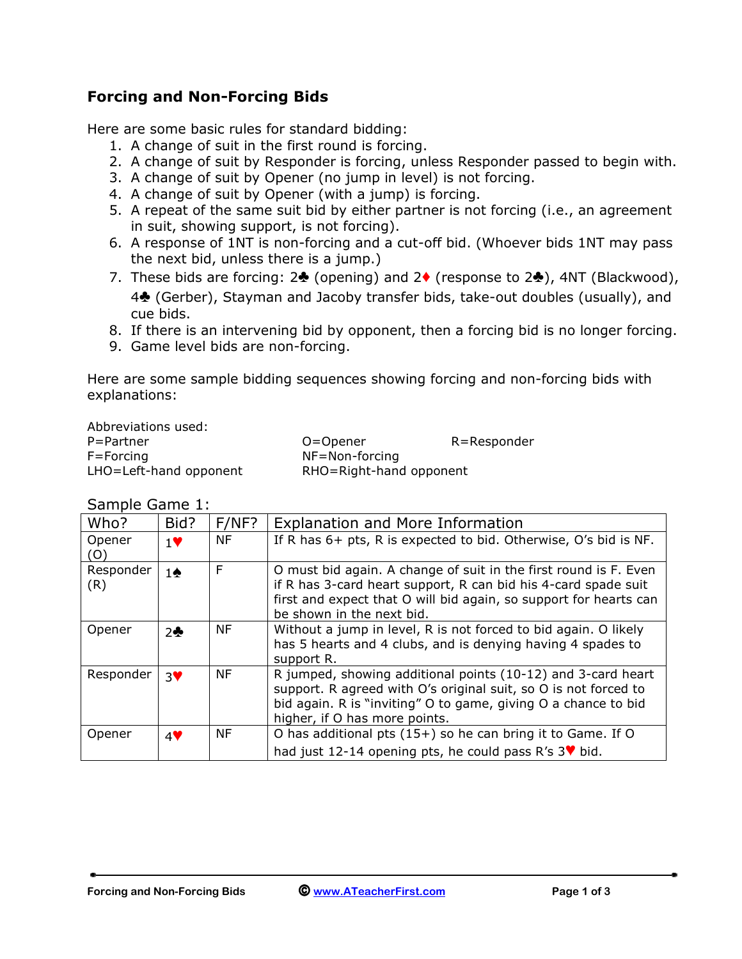### **Forcing and Non-Forcing Bids**

Here are some basic rules for standard bidding:

- 1. A change of suit in the first round is forcing.
- 2. A change of suit by Responder is forcing, unless Responder passed to begin with.
- 3. A change of suit by Opener (no jump in level) is not forcing.
- 4. A change of suit by Opener (with a jump) is forcing.
- 5. A repeat of the same suit bid by either partner is not forcing (i.e., an agreement in suit, showing support, is not forcing).
- 6. A response of 1NT is non-forcing and a cut-off bid. (Whoever bids 1NT may pass the next bid, unless there is a jump.)
- 7. These bids are forcing: 2**♣** (opening) and 2**♦** (response to 2**♣**), 4NT (Blackwood), <sup>4</sup>**♣** (Gerber), Stayman and Jacoby transfer bids, take-out doubles (usually), and cue bids.
- 8. If there is an intervening bid by opponent, then a forcing bid is no longer forcing.
- 9. Game level bids are non-forcing.

Here are some sample bidding sequences showing forcing and non-forcing bids with explanations:

Abbreviations used: F=Forcing NF=Non-forcing

P=Partner O=Opener R=Responder LHO=Left-hand opponent RHO=Right-hand opponent

| Who?             | Bid?          | $F/NF$ ?  | <b>Explanation and More Information</b>                                                                                                                                                                                              |
|------------------|---------------|-----------|--------------------------------------------------------------------------------------------------------------------------------------------------------------------------------------------------------------------------------------|
| Opener<br>(O)    | $1$ V         | <b>NF</b> | If R has 6+ pts, R is expected to bid. Otherwise, O's bid is NF.                                                                                                                                                                     |
| Responder<br>(R) | $1\spadesuit$ | F         | O must bid again. A change of suit in the first round is F. Even<br>if R has 3-card heart support, R can bid his 4-card spade suit<br>first and expect that O will bid again, so support for hearts can<br>be shown in the next bid. |
| Opener           | 2             | <b>NF</b> | Without a jump in level, R is not forced to bid again. O likely<br>has 5 hearts and 4 clubs, and is denying having 4 spades to<br>support R.                                                                                         |
| Responder        | 3♥            | <b>NF</b> | R jumped, showing additional points (10-12) and 3-card heart<br>support. R agreed with O's original suit, so O is not forced to<br>bid again. R is "inviting" O to game, giving O a chance to bid<br>higher, if O has more points.   |
| Opener           | 4             | <b>NF</b> | O has additional pts $(15+)$ so he can bring it to Game. If O                                                                                                                                                                        |
|                  |               |           | had just 12-14 opening pts, he could pass R's $3\blacktriangledown$ bid.                                                                                                                                                             |

Sample Game 1: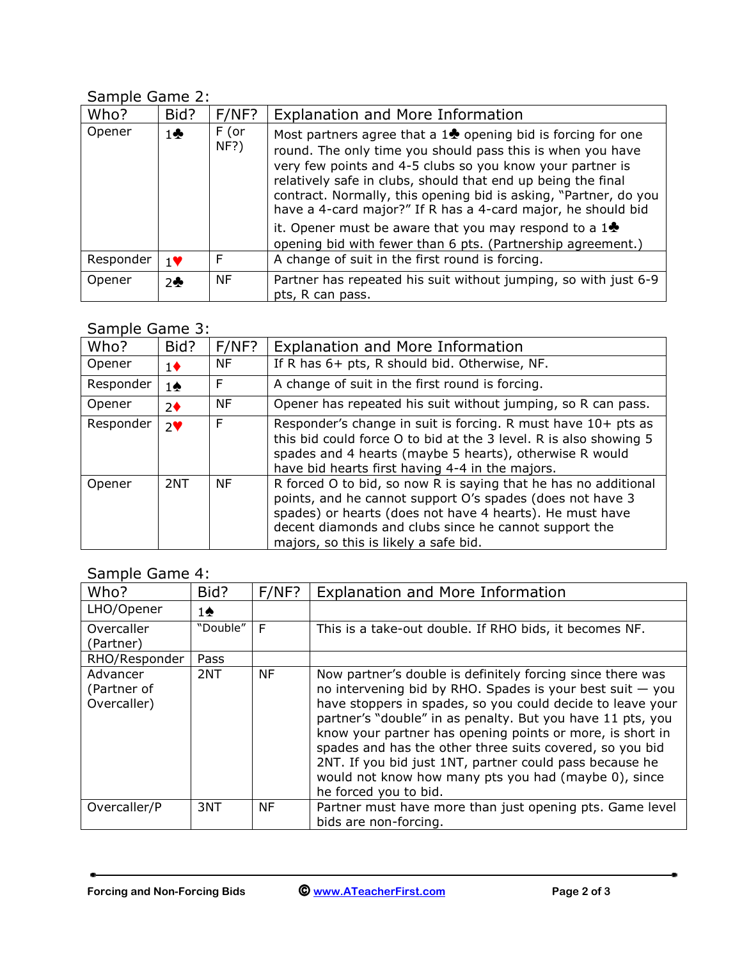# Sample Game 2:

| Who?      | Bid?          | $F/NF$ ?        | <b>Explanation and More Information</b>                                                                                                                                                                                                                                                                                                                                                                                                                                  |  |
|-----------|---------------|-----------------|--------------------------------------------------------------------------------------------------------------------------------------------------------------------------------------------------------------------------------------------------------------------------------------------------------------------------------------------------------------------------------------------------------------------------------------------------------------------------|--|
| Opener    | $1\clubsuit$  | $F$ (or<br>NF?) | Most partners agree that a $1\clubsuit$ opening bid is forcing for one<br>round. The only time you should pass this is when you have<br>very few points and 4-5 clubs so you know your partner is<br>relatively safe in clubs, should that end up being the final<br>contract. Normally, this opening bid is asking, "Partner, do you<br>have a 4-card major?" If R has a 4-card major, he should bid<br>it. Opener must be aware that you may respond to a $1\clubsuit$ |  |
|           |               |                 | opening bid with fewer than 6 pts. (Partnership agreement.)                                                                                                                                                                                                                                                                                                                                                                                                              |  |
| Responder | $1$ V         | F               | A change of suit in the first round is forcing.                                                                                                                                                                                                                                                                                                                                                                                                                          |  |
| Opener    | $2$ $\bullet$ | <b>NF</b>       | Partner has repeated his suit without jumping, so with just 6-9<br>pts, R can pass.                                                                                                                                                                                                                                                                                                                                                                                      |  |

## Sample Game 3:

| Who?      | Bid?             | $F/NF$ ?  | Explanation and More Information                                                                                                                                                                                                                                                           |  |
|-----------|------------------|-----------|--------------------------------------------------------------------------------------------------------------------------------------------------------------------------------------------------------------------------------------------------------------------------------------------|--|
| Opener    | $1\blacklozenge$ | <b>NF</b> | If R has 6+ pts, R should bid. Otherwise, NF.                                                                                                                                                                                                                                              |  |
| Responder | 1♠               | F         | A change of suit in the first round is forcing.                                                                                                                                                                                                                                            |  |
| Opener    | $2\bullet$       | <b>NF</b> | Opener has repeated his suit without jumping, so R can pass.                                                                                                                                                                                                                               |  |
| Responder | $2^{\vee}$       | F         | Responder's change in suit is forcing. R must have 10+ pts as<br>this bid could force O to bid at the 3 level. R is also showing 5<br>spades and 4 hearts (maybe 5 hearts), otherwise R would<br>have bid hearts first having 4-4 in the majors.                                           |  |
| Opener    | 2NT              | ΝF        | R forced O to bid, so now R is saying that he has no additional<br>points, and he cannot support O's spades (does not have 3<br>spades) or hearts (does not have 4 hearts). He must have<br>decent diamonds and clubs since he cannot support the<br>majors, so this is likely a safe bid. |  |

### Sample Game 4:

| Who?                                   | Bid?     | $F/NF$ ?  | <b>Explanation and More Information</b>                                                                                                                                                                                                                                                                                                                                                                                                                                                                                    |
|----------------------------------------|----------|-----------|----------------------------------------------------------------------------------------------------------------------------------------------------------------------------------------------------------------------------------------------------------------------------------------------------------------------------------------------------------------------------------------------------------------------------------------------------------------------------------------------------------------------------|
| LHO/Opener                             | 1♠       |           |                                                                                                                                                                                                                                                                                                                                                                                                                                                                                                                            |
| Overcaller<br>(Partner)                | "Double" | F         | This is a take-out double. If RHO bids, it becomes NF.                                                                                                                                                                                                                                                                                                                                                                                                                                                                     |
| RHO/Responder                          | Pass     |           |                                                                                                                                                                                                                                                                                                                                                                                                                                                                                                                            |
| Advancer<br>(Partner of<br>Overcaller) | 2NT      | <b>NF</b> | Now partner's double is definitely forcing since there was<br>no intervening bid by RHO. Spades is your best suit $-$ you<br>have stoppers in spades, so you could decide to leave your<br>partner's "double" in as penalty. But you have 11 pts, you<br>know your partner has opening points or more, is short in<br>spades and has the other three suits covered, so you bid<br>2NT. If you bid just 1NT, partner could pass because he<br>would not know how many pts you had (maybe 0), since<br>he forced you to bid. |
| Overcaller/P                           | 3NT      | <b>NF</b> | Partner must have more than just opening pts. Game level<br>bids are non-forcing.                                                                                                                                                                                                                                                                                                                                                                                                                                          |